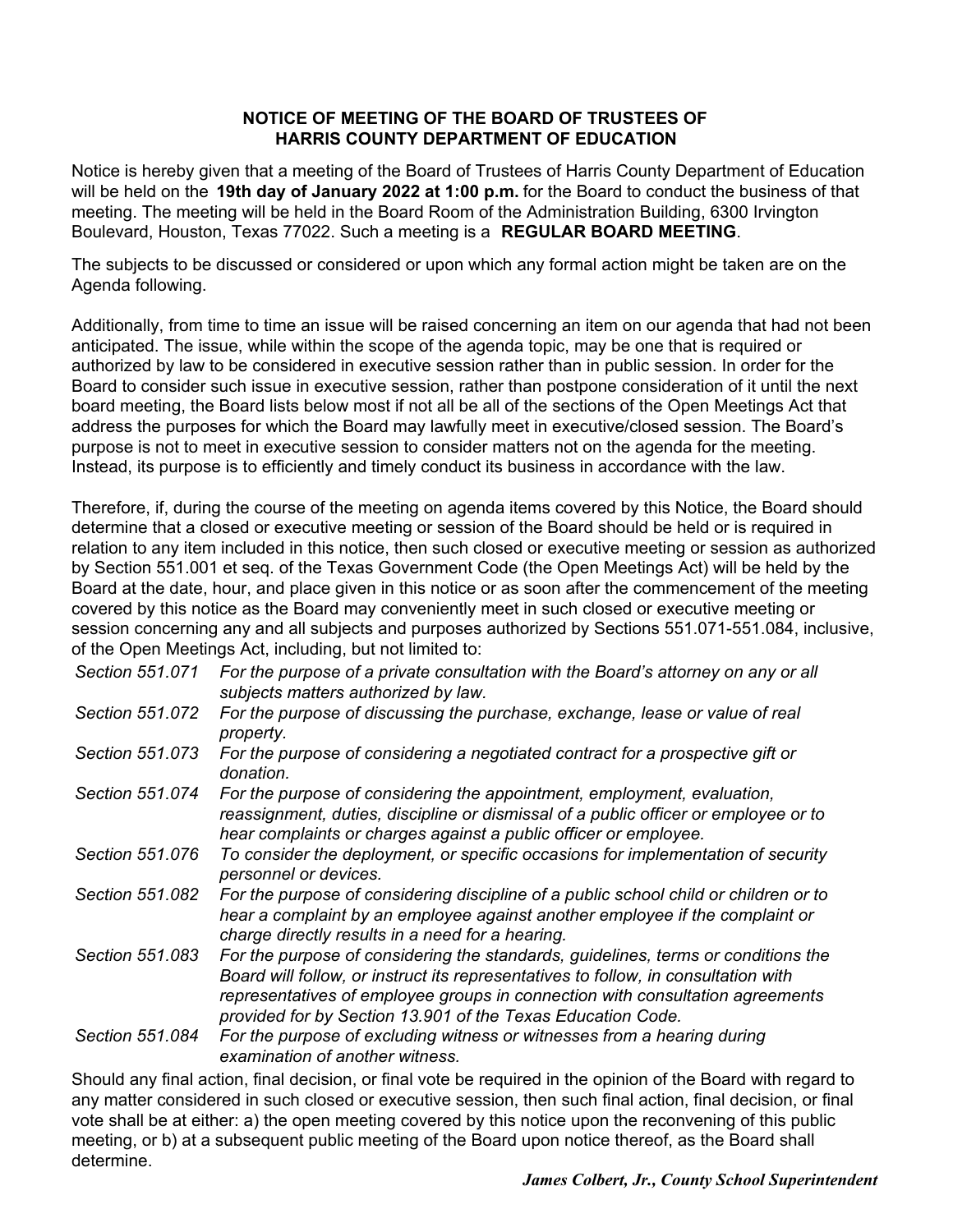#### **NOTICE OF MEETING OF THE BOARD OF TRUSTEES OF HARRIS COUNTY DEPARTMENT OF EDUCATION**

Notice is hereby given that a meeting of the Board of Trustees of Harris County Department of Education will be held on the **19th day of January 2022 at 1:00 p.m.** for the Board to conduct the business of that meeting. The meeting will be held in the Board Room of the Administration Building, 6300 Irvington Boulevard, Houston, Texas 77022. Such a meeting is a **REGULAR BOARD MEETING**.

The subjects to be discussed or considered or upon which any formal action might be taken are on the Agenda following.

Additionally, from time to time an issue will be raised concerning an item on our agenda that had not been anticipated. The issue, while within the scope of the agenda topic, may be one that is required or authorized by law to be considered in executive session rather than in public session. In order for the Board to consider such issue in executive session, rather than postpone consideration of it until the next board meeting, the Board lists below most if not all be all of the sections of the Open Meetings Act that address the purposes for which the Board may lawfully meet in executive/closed session. The Board's purpose is not to meet in executive session to consider matters not on the agenda for the meeting. Instead, its purpose is to efficiently and timely conduct its business in accordance with the law.

Therefore, if, during the course of the meeting on agenda items covered by this Notice, the Board should determine that a closed or executive meeting or session of the Board should be held or is required in relation to any item included in this notice, then such closed or executive meeting or session as authorized by Section 551.001 et seq. of the Texas Government Code (the Open Meetings Act) will be held by the Board at the date, hour, and place given in this notice or as soon after the commencement of the meeting covered by this notice as the Board may conveniently meet in such closed or executive meeting or session concerning any and all subjects and purposes authorized by Sections 551.071-551.084, inclusive, of the Open Meetings Act, including, but not limited to:

| Section 551.071 | For the purpose of a private consultation with the Board's attorney on any or all<br>subjects matters authorized by law.                                                                                                                                                                                                |
|-----------------|-------------------------------------------------------------------------------------------------------------------------------------------------------------------------------------------------------------------------------------------------------------------------------------------------------------------------|
| Section 551.072 | For the purpose of discussing the purchase, exchange, lease or value of real<br>property.                                                                                                                                                                                                                               |
| Section 551.073 | For the purpose of considering a negotiated contract for a prospective gift or<br>donation.                                                                                                                                                                                                                             |
| Section 551.074 | For the purpose of considering the appointment, employment, evaluation,<br>reassignment, duties, discipline or dismissal of a public officer or employee or to<br>hear complaints or charges against a public officer or employee.                                                                                      |
| Section 551.076 | To consider the deployment, or specific occasions for implementation of security<br>personnel or devices.                                                                                                                                                                                                               |
| Section 551.082 | For the purpose of considering discipline of a public school child or children or to<br>hear a complaint by an employee against another employee if the complaint or<br>charge directly results in a need for a hearing.                                                                                                |
| Section 551.083 | For the purpose of considering the standards, guidelines, terms or conditions the<br>Board will follow, or instruct its representatives to follow, in consultation with<br>representatives of employee groups in connection with consultation agreements<br>provided for by Section 13.901 of the Texas Education Code. |
| Section 551.084 | For the purpose of excluding witness or witnesses from a hearing during<br>examination of another witness.                                                                                                                                                                                                              |
|                 | $\bullet$ is the contract of the contract of the contract of the contract of the contract of the contract of the contract of the contract of the contract of the contract of the contract of the contract of the contract of the c                                                                                      |

Should any final action, final decision, or final vote be required in the opinion of the Board with regard to any matter considered in such closed or executive session, then such final action, final decision, or final vote shall be at either: a) the open meeting covered by this notice upon the reconvening of this public meeting, or b) at a subsequent public meeting of the Board upon notice thereof, as the Board shall determine.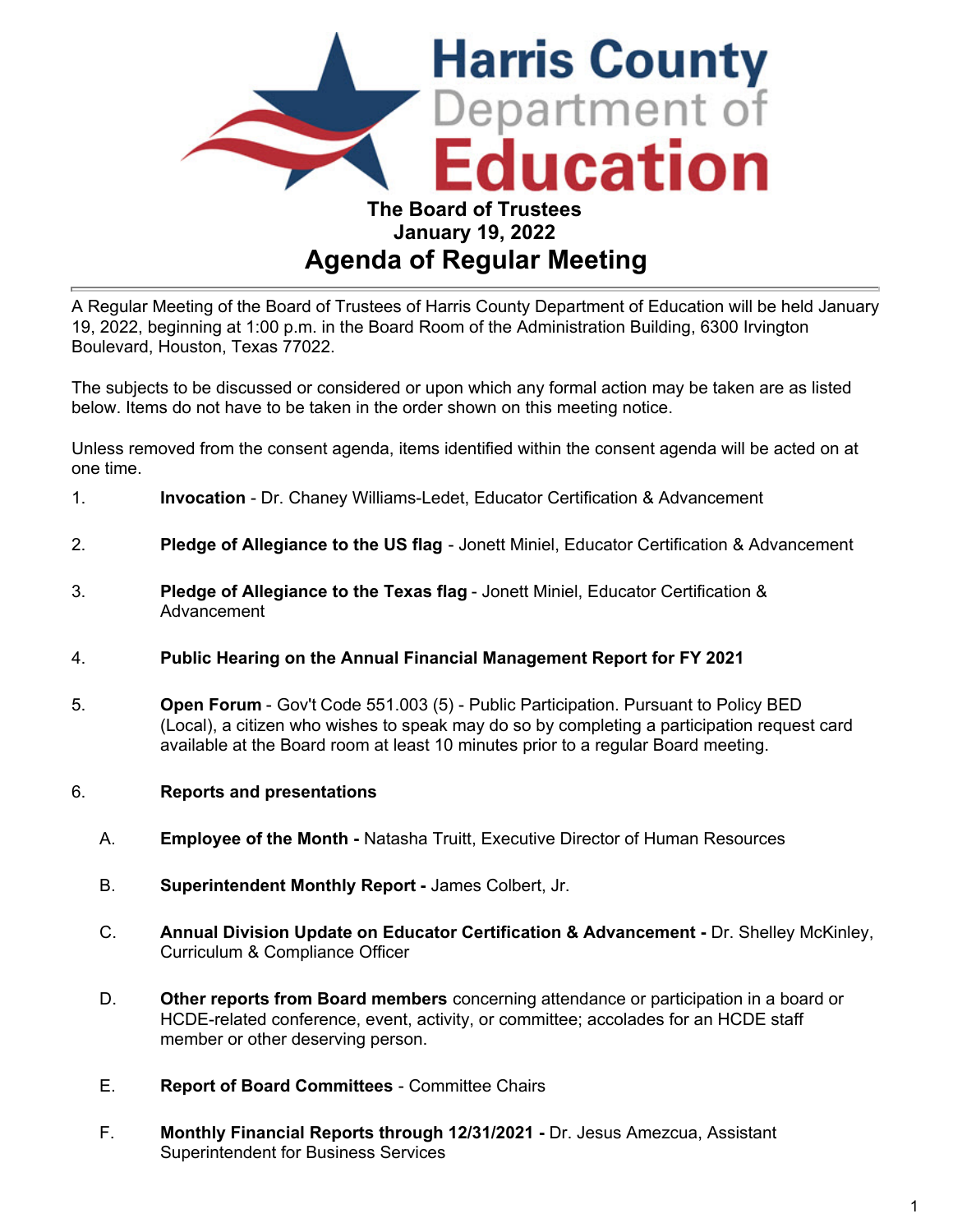

# A Regular Meeting of the Board of Trustees of Harris County Department of Education will be held January 19, 2022, beginning at 1:00 p.m. in the Board Room of the Administration Building, 6300 Irvington Boulevard, Houston, Texas 77022.

The subjects to be discussed or considered or upon which any formal action may be taken are as listed below. Items do not have to be taken in the order shown on this meeting notice.

Unless removed from the consent agenda, items identified within the consent agenda will be acted on at one time.

- 1. **Invocation** Dr. Chaney Williams-Ledet, Educator Certification & Advancement
- 2. **Pledge of Allegiance to the US flag** Jonett Miniel, Educator Certification & Advancement
- 3. **Pledge of Allegiance to the Texas flag** Jonett Miniel, Educator Certification & Advancement
- 4. **Public Hearing on the Annual Financial Management Report for FY 2021**
- 5. **Open Forum**  Gov't Code 551.003 (5) Public Participation. Pursuant to Policy BED (Local), a citizen who wishes to speak may do so by completing a participation request card available at the Board room at least 10 minutes prior to a regular Board meeting.
- 6. **Reports and presentations**
	- A. **Employee of the Month** Natasha Truitt, Executive Director of Human Resources
	- B. **Superintendent Monthly Report -** James Colbert, Jr.
	- C. **Annual Division Update on Educator Certification & Advancement -** Dr. Shelley McKinley, Curriculum & Compliance Officer
	- D. **Other reports from Board members** concerning attendance or participation in a board or HCDE-related conference, event, activity, or committee; accolades for an HCDE staff member or other deserving person.
	- E. **Report of Board Committees** Committee Chairs
	- F. **Monthly Financial Reports through 12/31/2021 -** Dr. Jesus Amezcua, Assistant Superintendent for Business Services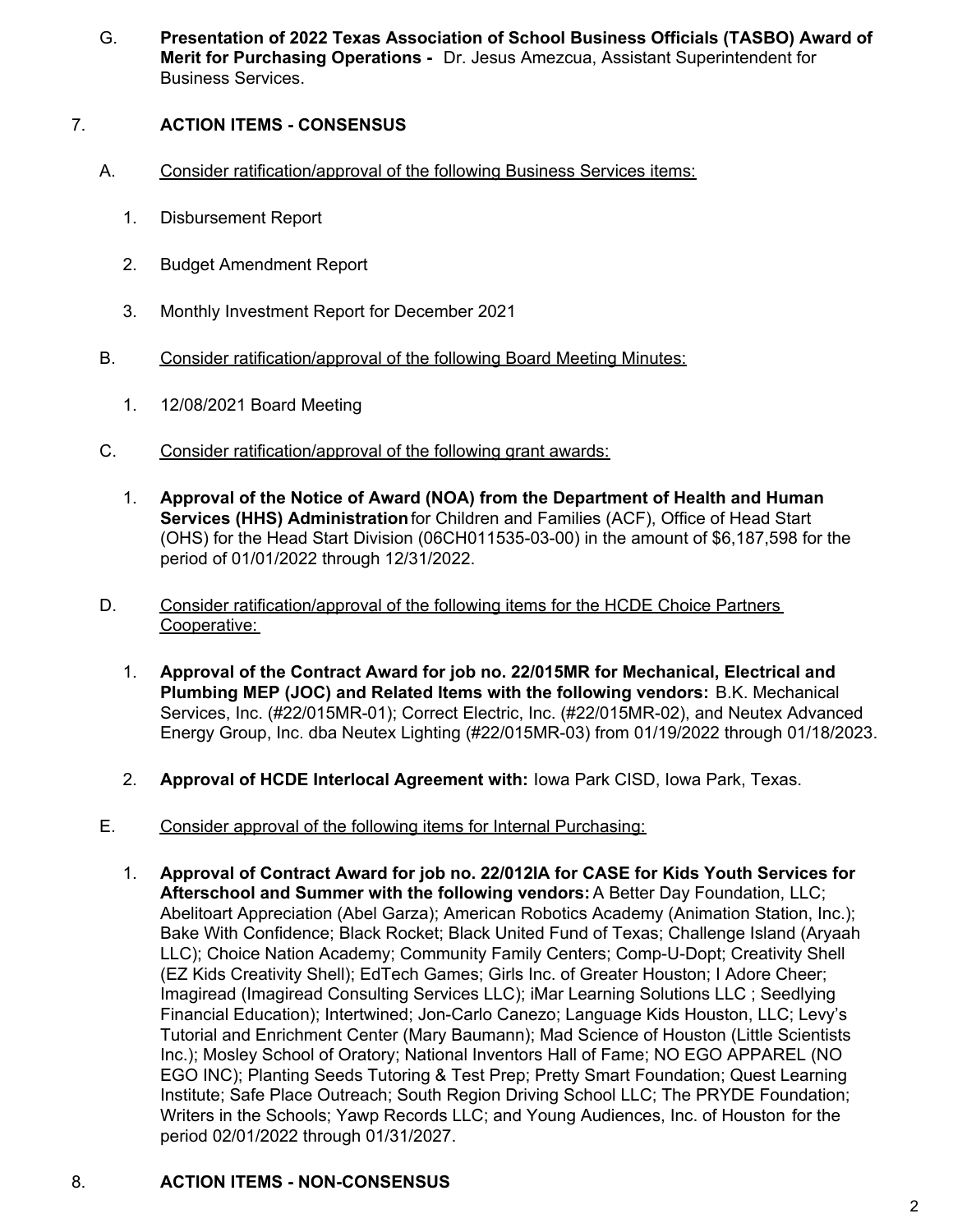G. **Presentation of 2022 Texas Association of School Business Officials (TASBO) Award of Merit for Purchasing Operations -** Dr. Jesus Amezcua, Assistant Superintendent for Business Services.

# 7. **ACTION ITEMS - CONSENSUS**

- A. Consider ratification/approval of the following Business Services items:
	- 1. Disbursement Report
	- 2. Budget Amendment Report
	- 3. Monthly Investment Report for December 2021
- B. Consider ratification/approval of the following Board Meeting Minutes:
	- 1. 12/08/2021 Board Meeting
- C. Consider ratification/approval of the following grant awards:
	- 1. **Approval of the Notice of Award (NOA) from the Department of Health and Human Services (HHS) Administration** for Children and Families (ACF), Office of Head Start (OHS) for the Head Start Division (06CH011535-03-00) in the amount of \$6,187,598 for the period of 01/01/2022 through 12/31/2022.
- D. Consider ratification/approval of the following items for the HCDE Choice Partners Cooperative:
	- 1. **Approval of the Contract Award for job no. 22/015MR for Mechanical, Electrical and Plumbing MEP (JOC) and Related Items with the following vendors:** B.K. Mechanical Services, Inc. (#22/015MR-01); Correct Electric, Inc. (#22/015MR-02), and Neutex Advanced Energy Group, Inc. dba Neutex Lighting (#22/015MR-03) from 01/19/2022 through 01/18/2023.
	- 2. **Approval of HCDE Interlocal Agreement with:** Iowa Park CISD, Iowa Park, Texas.
- E. Consider approval of the following items for Internal Purchasing:
	- 1. **Approval of Contract Award for job no. 22/012IA for CASE for Kids Youth Services for Afterschool and Summer with the following vendors:** A Better Day Foundation, LLC; Abelitoart Appreciation (Abel Garza); American Robotics Academy (Animation Station, Inc.); Bake With Confidence; Black Rocket; Black United Fund of Texas; Challenge Island (Aryaah LLC); Choice Nation Academy; Community Family Centers; Comp-U-Dopt; Creativity Shell (EZ Kids Creativity Shell); EdTech Games; Girls Inc. of Greater Houston; I Adore Cheer; Imagiread (Imagiread Consulting Services LLC); iMar Learning Solutions LLC ; Seedlying Financial Education); Intertwined; Jon-Carlo Canezo; Language Kids Houston, LLC; Levy's Tutorial and Enrichment Center (Mary Baumann); Mad Science of Houston (Little Scientists Inc.); Mosley School of Oratory; National Inventors Hall of Fame; NO EGO APPAREL (NO EGO INC); Planting Seeds Tutoring & Test Prep; Pretty Smart Foundation; Quest Learning Institute; Safe Place Outreach; South Region Driving School LLC; The PRYDE Foundation; Writers in the Schools; Yawp Records LLC; and Young Audiences, Inc. of Houston for the period 02/01/2022 through 01/31/2027.

## 8. **ACTION ITEMS - NON-CONSENSUS**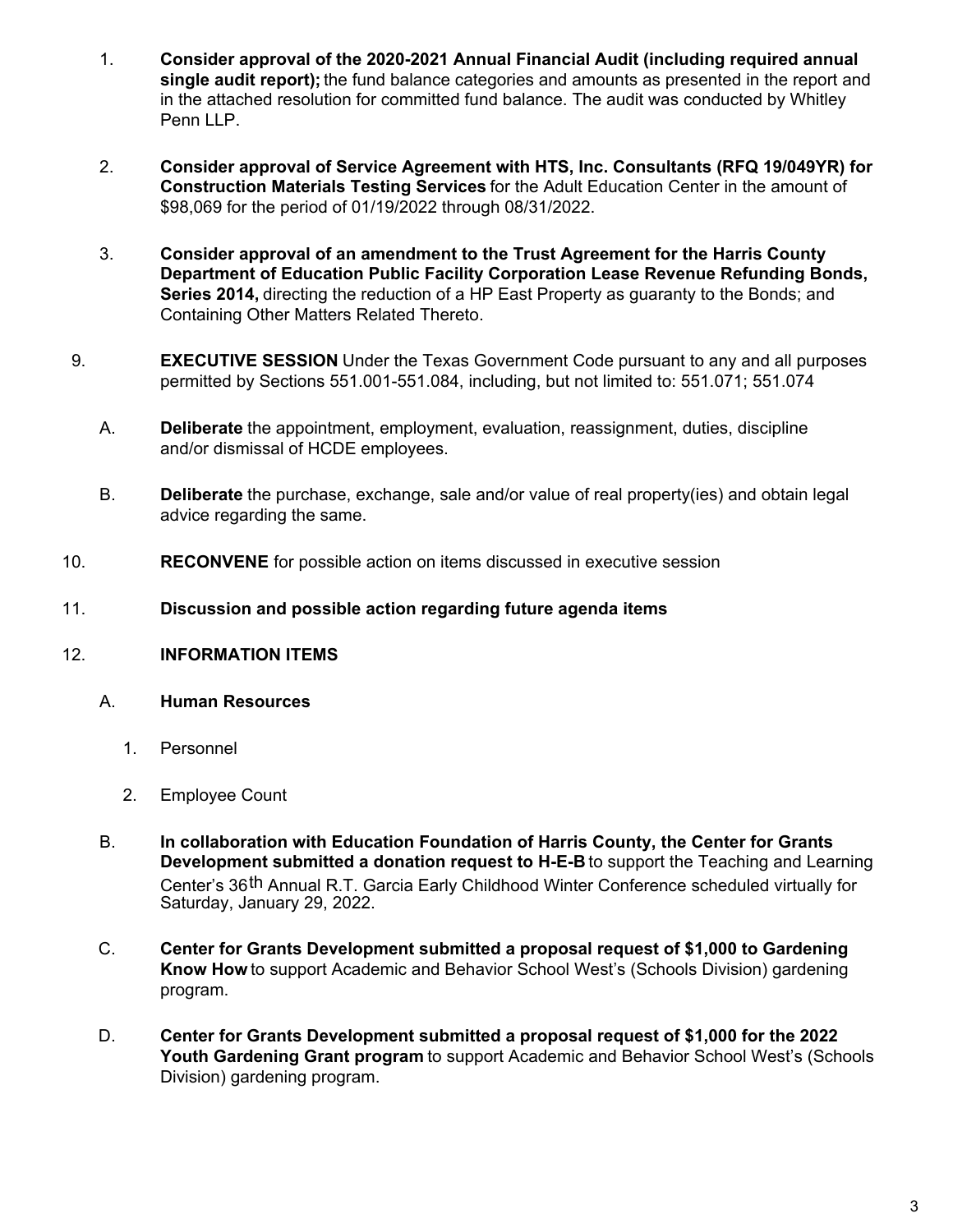- 1. **Consider approval of the 2020-2021 Annual Financial Audit (including required annual single audit report);** the fund balance categories and amounts as presented in the report and in the attached resolution for committed fund balance. The audit was conducted by Whitley Penn LLP.
- 2. **Consider approval of Service Agreement with HTS, Inc. Consultants (RFQ 19/049YR) for Construction Materials Testing Services** for the Adult Education Center in the amount of \$98,069 for the period of 01/19/2022 through 08/31/2022.
- 3. **Consider approval of an amendment to the Trust Agreement for the Harris County Department of Education Public Facility Corporation Lease Revenue Refunding Bonds, Series 2014,** directing the reduction of a HP East Property as guaranty to the Bonds; and Containing Other Matters Related Thereto.
- 9. **EXECUTIVE SESSION** Under the Texas Government Code pursuant to any and all purposes permitted by Sections 551.001-551.084, including, but not limited to: 551.071; 551.074
	- A. **Deliberate** the appointment, employment, evaluation, reassignment, duties, discipline and/or dismissal of HCDE employees.
	- B. **Deliberate** the purchase, exchange, sale and/or value of real property(ies) and obtain legal advice regarding the same.
- 10. **RECONVENE** for possible action on items discussed in executive session
- 11. **Discussion and possible action regarding future agenda items**
- 12. **INFORMATION ITEMS**
	- A. **Human Resources**
		- 1. Personnel
		- 2. Employee Count
	- B. **In collaboration with Education Foundation of Harris County, the Center for Grants Development submitted a donation request to H-E-B** to support the Teaching and Learning Center's 36th Annual R.T. Garcia Early Childhood Winter Conference scheduled virtually for Saturday, January 29, 2022.
	- C. **Center for Grants Development submitted a proposal request of \$1,000 to Gardening Know How** to support Academic and Behavior School West's (Schools Division) gardening program.
	- D. **Center for Grants Development submitted a proposal request of \$1,000 for the 2022 Youth Gardening Grant program** to support Academic and Behavior School West's (Schools Division) gardening program.